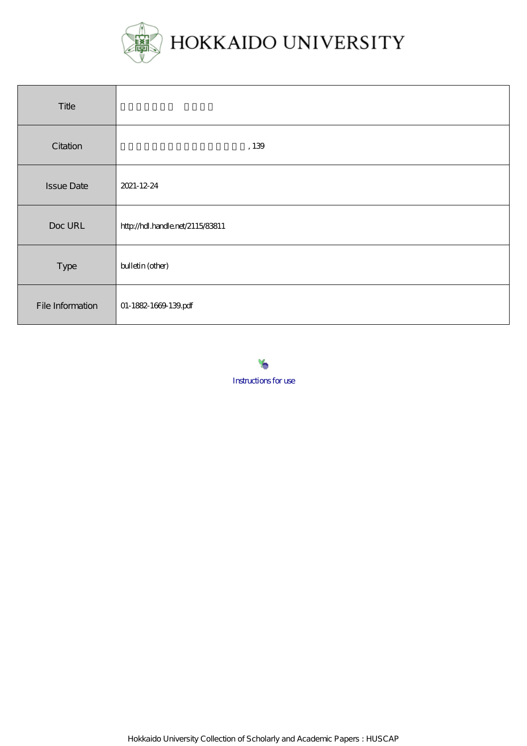

| Title             |                                  |
|-------------------|----------------------------------|
| Citation          | $,139\,$                         |
| <b>Issue Date</b> | 2021-12-24                       |
| Doc URL           | http://hdl.handle.net/2115/83811 |
| Type              | bulletin (other)                 |
| File Information  | 01-1882-1669-139.pdf             |